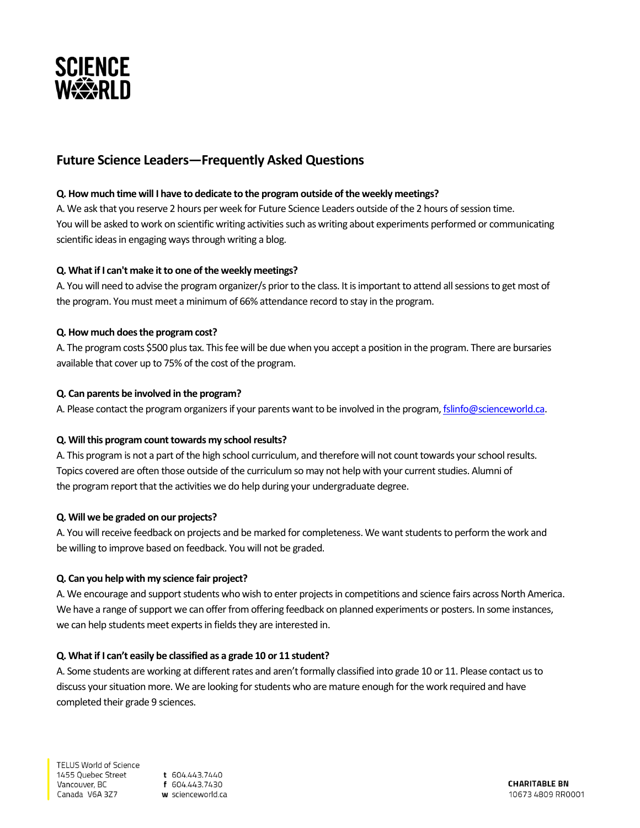

# **Future Science Leaders—Frequently Asked Questions**

## **Q. How much time will I have to dedicate to the program outside of the weekly meetings?**

A. We ask that you reserve 2 hours per week for Future Science Leaders outside of the 2 hours of session time. You will be asked to work on scientific writing activities such as writing about experiments performed or communicating scientific ideas in engaging ways through writing a blog.

# **Q. What if I can't make it to one of the weekly meetings?**

A. You will need to advise the program organizer/s prior to the class. It is important to attend all sessions to get most of the program. You must meet a minimum of 66% attendance record to stay in the program.

## **Q. How much does the program cost?**

A. The program costs \$500 plus tax. This fee will be due when you accept a position in the program. There are bursaries available that cover up to 75% of the cost of the program.

## **Q. Can parents be involved in the program?**

A. Please contact the program organizers if your parents want to be involved in the program[, fslinfo@scienceworld.ca.](mailto:fslinfo@scienceworld.ca)

#### **Q. Will this program count towards my school results?**

A. This program is not a part of the high school curriculum, and therefore will not count towards your school results. Topics covered are often those outside of the curriculum so may not help with your current studies. Alumni of the program report that the activities we do help during your undergraduate degree.

# **Q. Will we be graded on our projects?**

A. You will receive feedback on projects and be marked for completeness. We want students to perform the work and be willing to improve based on feedback. You will not be graded.

#### **Q. Can you help with my science fair project?**

A. We encourage and support students who wish to enter projects in competitions and science fairs across North America. We have a range of support we can offer from offering feedback on planned experiments or posters. In some instances, we can help students meet experts in fields they are interested in.

### **Q. What if I can't easily be classified as a grade 10 or 11 student?**

A. Some students are working at different rates and aren't formally classified into grade 10 or 11. Please contact us to discuss your situation more. We are looking for students who are mature enough for the work required and have completed their grade 9 sciences.